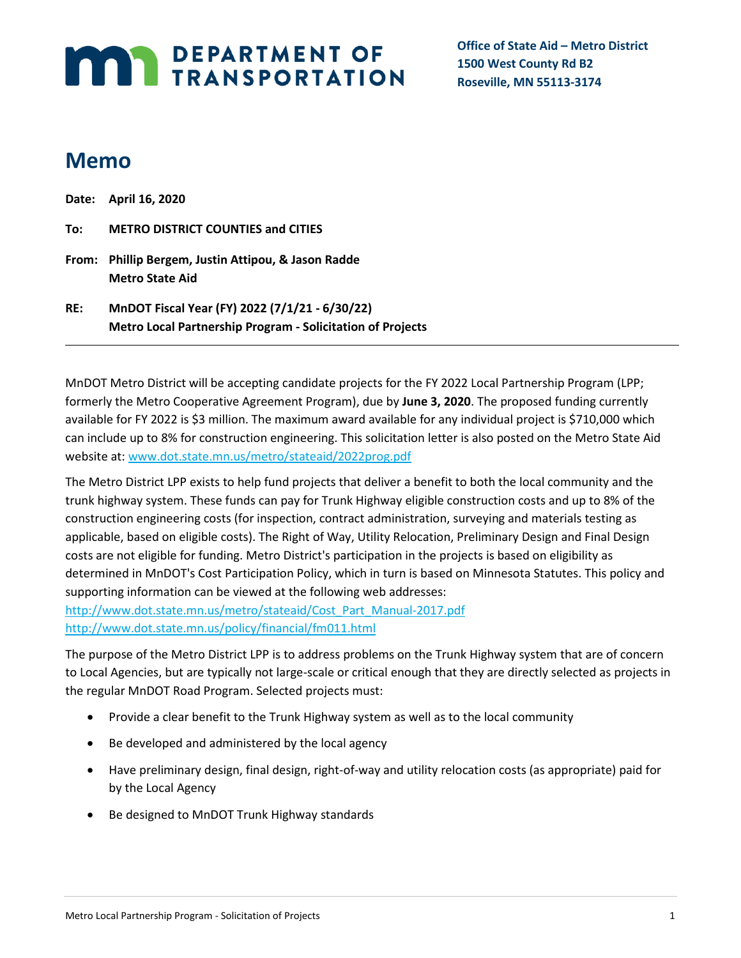# **MARI DEPARTMENT OF TRANSPORTATION**

**Office of State Aid – Metro District 1500 West County Rd B2 Roseville, MN 55113-3174**

## **Memo**

|     | Date: April 16, 2020                                                                                                |
|-----|---------------------------------------------------------------------------------------------------------------------|
| To: | <b>METRO DISTRICT COUNTIES and CITIES</b>                                                                           |
|     | From: Phillip Bergem, Justin Attipou, & Jason Radde<br><b>Metro State Aid</b>                                       |
| RE: | MnDOT Fiscal Year (FY) 2022 (7/1/21 - 6/30/22)<br><b>Metro Local Partnership Program - Solicitation of Projects</b> |

MnDOT Metro District will be accepting candidate projects for the FY 2022 Local Partnership Program (LPP; formerly the Metro Cooperative Agreement Program), due by **June 3, 2020**. The proposed funding currently available for FY 2022 is \$3 million. The maximum award available for any individual project is \$710,000 which can include up to 8% for construction engineering. This solicitation letter is also posted on the Metro State Aid website at: [www.dot.state.mn.us/metro/stateaid/2022prog.pdf](http://www.dot.state.mn.us/metro/stateaid/2022prog.pdf)

The Metro District LPP exists to help fund projects that deliver a benefit to both the local community and the trunk highway system. These funds can pay for Trunk Highway eligible construction costs and up to 8% of the construction engineering costs (for inspection, contract administration, surveying and materials testing as applicable, based on eligible costs). The Right of Way, Utility Relocation, Preliminary Design and Final Design costs are not eligible for funding. Metro District's participation in the projects is based on eligibility as determined in MnDOT's Cost Participation Policy, which in turn is based on Minnesota Statutes. This policy and supporting information can be viewed at the following web addresses:

[http://www.dot.state.mn.us/metro/stateaid/Cost\\_Part\\_Manual-2017.pdf](http://www.dot.state.mn.us/metro/stateaid/Cost_Part_Manual-2017.pdf) <http://www.dot.state.mn.us/policy/financial/fm011.html>

The purpose of the Metro District LPP is to address problems on the Trunk Highway system that are of concern to Local Agencies, but are typically not large-scale or critical enough that they are directly selected as projects in the regular MnDOT Road Program. Selected projects must:

- Provide a clear benefit to the Trunk Highway system as well as to the local community
- Be developed and administered by the local agency
- Have preliminary design, final design, right-of-way and utility relocation costs (as appropriate) paid for by the Local Agency
- Be designed to MnDOT Trunk Highway standards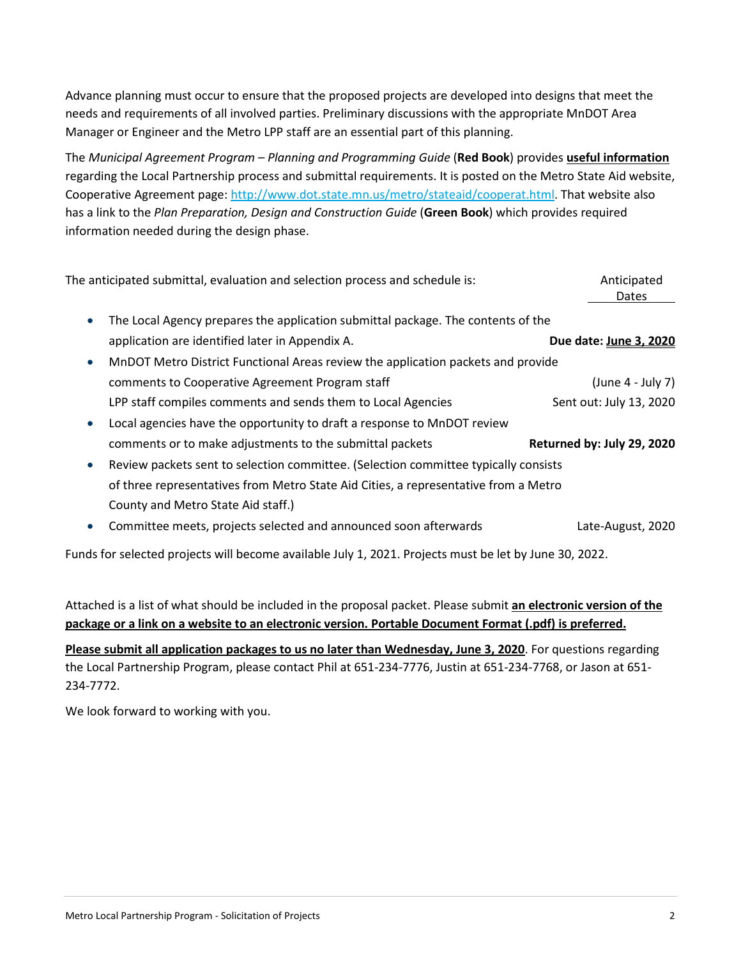Advance planning must occur to ensure that the proposed projects are developed into designs that meet the needs and requirements of all involved parties. Preliminary discussions with the appropriate MnDOT Area Manager or Engineer and the Metro LPP staff are an essential part of this planning.

The *Municipal Agreement Program – Planning and Programming Guide* (**Red Book**) provides **useful information** regarding the Local Partnership process and submittal requirements. It is posted on the Metro State Aid website, Cooperative Agreement page[: http://www.dot.state.mn.us/metro/stateaid/cooperat.html.](http://www.dot.state.mn.us/metro/stateaid/cooperat.html) That website also has a link to the *Plan Preparation, Design and Construction Guide* (**Green Book**) which provides required information needed during the design phase.

|                                                                                                  | The anticipated submittal, evaluation and selection process and schedule is:                           | Anticipated<br>Dates       |  |
|--------------------------------------------------------------------------------------------------|--------------------------------------------------------------------------------------------------------|----------------------------|--|
| $\bullet$                                                                                        | The Local Agency prepares the application submittal package. The contents of the                       |                            |  |
|                                                                                                  | application are identified later in Appendix A.                                                        | Due date: June 3, 2020     |  |
| $\bullet$                                                                                        | MnDOT Metro District Functional Areas review the application packets and provide                       |                            |  |
|                                                                                                  | comments to Cooperative Agreement Program staff                                                        | $(lune 4 - July 7)$        |  |
|                                                                                                  | LPP staff compiles comments and sends them to Local Agencies                                           | Sent out: July 13, 2020    |  |
| $\bullet$                                                                                        | Local agencies have the opportunity to draft a response to MnDOT review                                |                            |  |
|                                                                                                  | comments or to make adjustments to the submittal packets                                               | Returned by: July 29, 2020 |  |
| Review packets sent to selection committee. (Selection committee typically consists<br>$\bullet$ |                                                                                                        |                            |  |
|                                                                                                  | of three representatives from Metro State Aid Cities, a representative from a Metro                    |                            |  |
|                                                                                                  | County and Metro State Aid staff.)                                                                     |                            |  |
| $\bullet$                                                                                        | Committee meets, projects selected and announced soon afterwards                                       | Late-August, 2020          |  |
|                                                                                                  | Funds for selected projects will become available July 1, 2021. Projects must be let by June 30, 2022. |                            |  |

Attached is a list of what should be included in the proposal packet. Please submit **an electronic version of the package or a link on a website to an electronic version. Portable Document Format (.pdf) is preferred.**

**Please submit all application packages to us no later than Wednesday, June 3, 2020**. For questions regarding the Local Partnership Program, please contact Phil at 651-234-7776, Justin at 651-234-7768, or Jason at 651- 234-7772.

We look forward to working with you.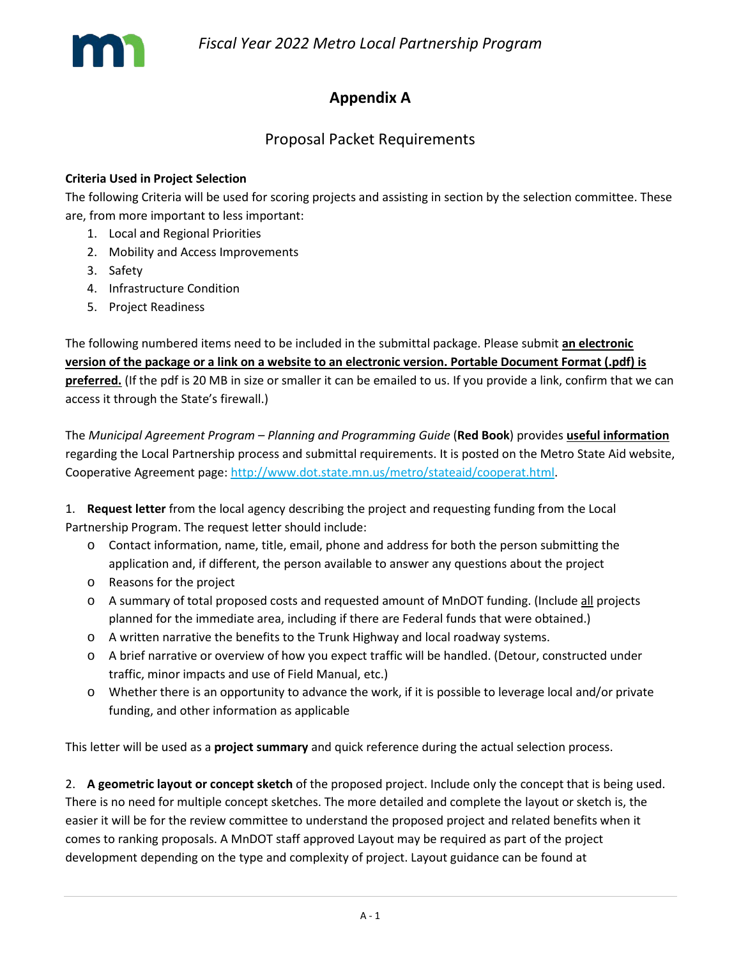

### **Appendix A**

#### Proposal Packet Requirements

#### **Criteria Used in Project Selection**

The following Criteria will be used for scoring projects and assisting in section by the selection committee. These are, from more important to less important:

- 1. Local and Regional Priorities
- 2. Mobility and Access Improvements
- 3. Safety
- 4. Infrastructure Condition
- 5. Project Readiness

The following numbered items need to be included in the submittal package. Please submit **an electronic version of the package or a link on a website to an electronic version. Portable Document Format (.pdf) is preferred.** (If the pdf is 20 MB in size or smaller it can be emailed to us. If you provide a link, confirm that we can access it through the State's firewall.)

The *Municipal Agreement Program – Planning and Programming Guide* (**Red Book**) provides **useful information** regarding the Local Partnership process and submittal requirements. It is posted on the Metro State Aid website, Cooperative Agreement page[: http://www.dot.state.mn.us/metro/stateaid/cooperat.html.](http://www.dot.state.mn.us/metro/stateaid/cooperat.html)

1. **Request letter** from the local agency describing the project and requesting funding from the Local Partnership Program. The request letter should include:

- o Contact information, name, title, email, phone and address for both the person submitting the application and, if different, the person available to answer any questions about the project
- o Reasons for the project
- o A summary of total proposed costs and requested amount of MnDOT funding. (Include all projects planned for the immediate area, including if there are Federal funds that were obtained.)
- o A written narrative the benefits to the Trunk Highway and local roadway systems.
- o A brief narrative or overview of how you expect traffic will be handled. (Detour, constructed under traffic, minor impacts and use of Field Manual, etc.)
- o Whether there is an opportunity to advance the work, if it is possible to leverage local and/or private funding, and other information as applicable

This letter will be used as a **project summary** and quick reference during the actual selection process.

2. **A geometric layout or concept sketch** of the proposed project. Include only the concept that is being used. There is no need for multiple concept sketches. The more detailed and complete the layout or sketch is, the easier it will be for the review committee to understand the proposed project and related benefits when it comes to ranking proposals. A MnDOT staff approved Layout may be required as part of the project development depending on the type and complexity of project. Layout guidance can be found at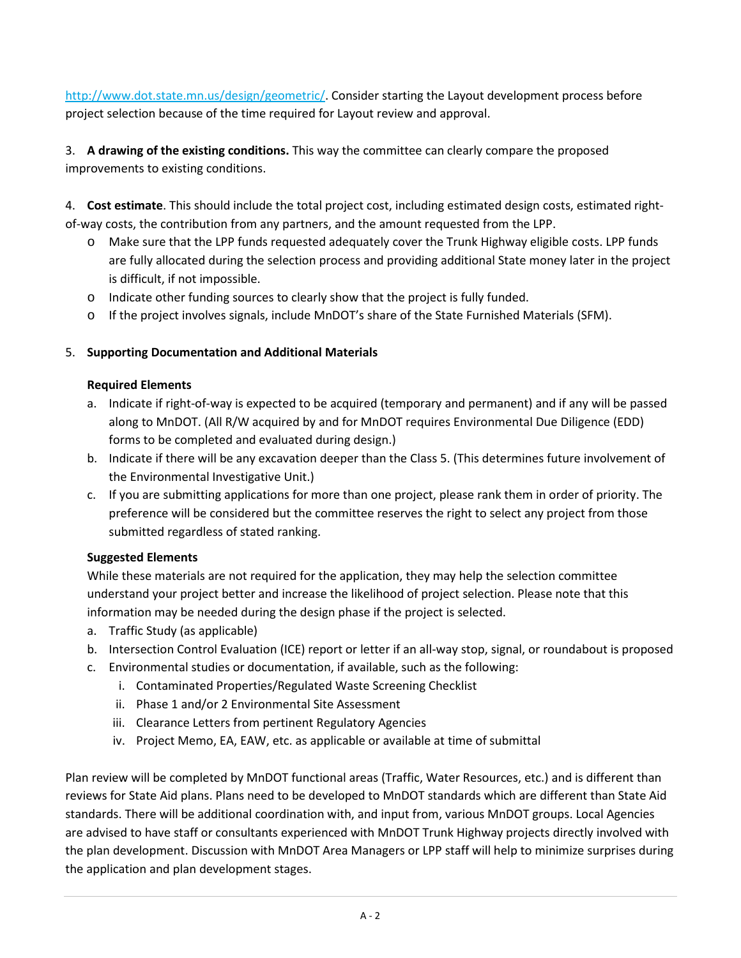[http://www.dot.state.mn.us/design/geometric/.](http://www.dot.state.mn.us/design/geometric/) Consider starting the Layout development process before project selection because of the time required for Layout review and approval.

3. **A drawing of the existing conditions.** This way the committee can clearly compare the proposed improvements to existing conditions.

4. **Cost estimate**. This should include the total project cost, including estimated design costs, estimated rightof-way costs, the contribution from any partners, and the amount requested from the LPP.

- o Make sure that the LPP funds requested adequately cover the Trunk Highway eligible costs. LPP funds are fully allocated during the selection process and providing additional State money later in the project is difficult, if not impossible.
- o Indicate other funding sources to clearly show that the project is fully funded.
- o If the project involves signals, include MnDOT's share of the State Furnished Materials (SFM).

#### 5. **Supporting Documentation and Additional Materials**

#### **Required Elements**

- a. Indicate if right-of-way is expected to be acquired (temporary and permanent) and if any will be passed along to MnDOT. (All R/W acquired by and for MnDOT requires Environmental Due Diligence (EDD) forms to be completed and evaluated during design.)
- b. Indicate if there will be any excavation deeper than the Class 5. (This determines future involvement of the Environmental Investigative Unit.)
- c. If you are submitting applications for more than one project, please rank them in order of priority. The preference will be considered but the committee reserves the right to select any project from those submitted regardless of stated ranking.

#### **Suggested Elements**

While these materials are not required for the application, they may help the selection committee understand your project better and increase the likelihood of project selection. Please note that this information may be needed during the design phase if the project is selected.

- a. Traffic Study (as applicable)
- b. Intersection Control Evaluation (ICE) report or letter if an all-way stop, signal, or roundabout is proposed
- c. Environmental studies or documentation, if available, such as the following:
	- i. Contaminated Properties/Regulated Waste Screening Checklist
	- ii. Phase 1 and/or 2 Environmental Site Assessment
	- iii. Clearance Letters from pertinent Regulatory Agencies
	- iv. Project Memo, EA, EAW, etc. as applicable or available at time of submittal

Plan review will be completed by MnDOT functional areas (Traffic, Water Resources, etc.) and is different than reviews for State Aid plans. Plans need to be developed to MnDOT standards which are different than State Aid standards. There will be additional coordination with, and input from, various MnDOT groups. Local Agencies are advised to have staff or consultants experienced with MnDOT Trunk Highway projects directly involved with the plan development. Discussion with MnDOT Area Managers or LPP staff will help to minimize surprises during the application and plan development stages.